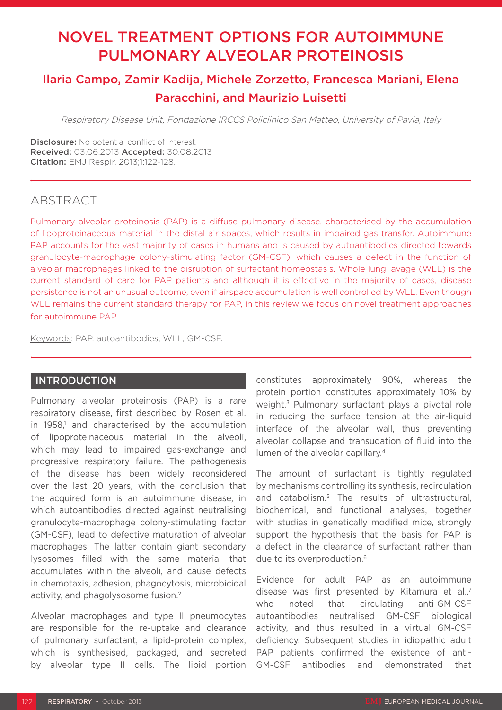# NOVEL TREATMENT OPTIONS FOR AUTOIMMUNE PULMONARY ALVEOLAR PROTEINOSIS

## Ilaria Campo, Zamir Kadija, Michele Zorzetto, Francesca Mariani, Elena Paracchini, and Maurizio Luisetti

Respiratory Disease Unit, Fondazione IRCCS Policlinico San Matteo, University of Pavia, Italy

**Disclosure:** No potential conflict of interest. Received: 03.06.2013 Accepted: 30.08.2013 Citation: EMJ Respir. 2013;1:122-128.

## ABSTRACT

Pulmonary alveolar proteinosis (PAP) is a diffuse pulmonary disease, characterised by the accumulation of lipoproteinaceous material in the distal air spaces, which results in impaired gas transfer. Autoimmune PAP accounts for the vast majority of cases in humans and is caused by autoantibodies directed towards granulocyte-macrophage colony-stimulating factor (GM-CSF), which causes a defect in the function of alveolar macrophages linked to the disruption of surfactant homeostasis. Whole lung lavage (WLL) is the current standard of care for PAP patients and although it is effective in the majority of cases, disease persistence is not an unusual outcome, even if airspace accumulation is well controlled by WLL. Even though WLL remains the current standard therapy for PAP, in this review we focus on novel treatment approaches for autoimmune PAP.

Keywords: PAP, autoantibodies, WLL, GM-CSF.

#### INTRODUCTION

Pulmonary alveolar proteinosis (PAP) is a rare respiratory disease, first described by Rosen et al. in 1958,<sup>1</sup> and characterised by the accumulation of lipoproteinaceous material in the alveoli, which may lead to impaired gas-exchange and progressive respiratory failure. The pathogenesis of the disease has been widely reconsidered over the last 20 years, with the conclusion that the acquired form is an autoimmune disease, in which autoantibodies directed against neutralising granulocyte-macrophage colony-stimulating factor (GM-CSF), lead to defective maturation of alveolar macrophages. The latter contain giant secondary lysosomes filled with the same material that accumulates within the alveoli, and cause defects in chemotaxis, adhesion, phagocytosis, microbicidal activity, and phagolysosome fusion.2

Alveolar macrophages and type II pneumocytes are responsible for the re-uptake and clearance of pulmonary surfactant, a lipid-protein complex, which is synthesised, packaged, and secreted by alveolar type II cells. The lipid portion constitutes approximately 90%, whereas the protein portion constitutes approximately 10% by weight.3 Pulmonary surfactant plays a pivotal role in reducing the surface tension at the air-liquid interface of the alveolar wall, thus preventing alveolar collapse and transudation of fluid into the lumen of the alveolar capillary.4

The amount of surfactant is tightly regulated by mechanisms controlling its synthesis, recirculation and catabolism.5 The results of ultrastructural, biochemical, and functional analyses, together with studies in genetically modified mice, strongly support the hypothesis that the basis for PAP is a defect in the clearance of surfactant rather than due to its overproduction.<sup>6</sup>

Evidence for adult PAP as an autoimmune disease was first presented by Kitamura et al.<sup>7</sup> who noted that circulating anti-GM-CSF autoantibodies neutralised GM-CSF biological activity, and thus resulted in a virtual GM-CSF deficiency. Subsequent studies in idiopathic adult PAP patients confirmed the existence of anti-GM-CSF antibodies and demonstrated that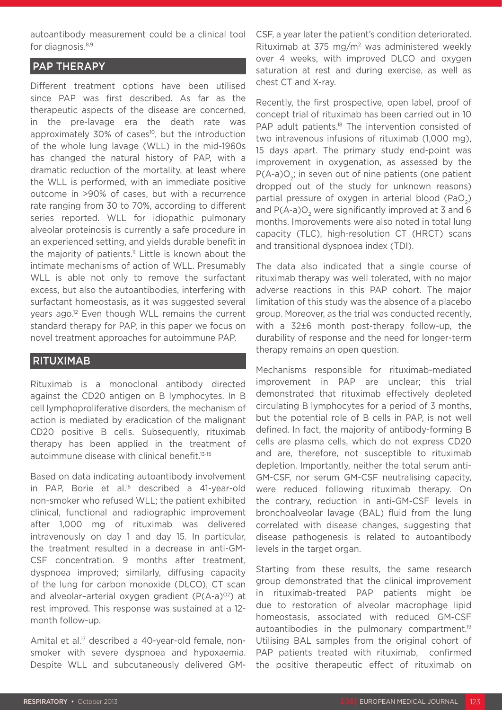autoantibody measurement could be a clinical tool for diagnosis.<sup>8,9</sup>

### PAP THERAPY

Different treatment options have been utilised since PAP was first described. As far as the therapeutic aspects of the disease are concerned, in the pre-lavage era the death rate was approximately 30% of cases<sup>10</sup>, but the introduction of the whole lung lavage (WLL) in the mid-1960s has changed the natural history of PAP, with a dramatic reduction of the mortality, at least where the WLL is performed, with an immediate positive outcome in >90% of cases, but with a recurrence rate ranging from 30 to 70%, according to different series reported. WLL for idiopathic pulmonary alveolar proteinosis is currently a safe procedure in an experienced setting, and yields durable benefit in the majority of patients.<sup>11</sup> Little is known about the intimate mechanisms of action of WLL. Presumably WLL is able not only to remove the surfactant excess, but also the autoantibodies, interfering with surfactant homeostasis, as it was suggested several years ago.12 Even though WLL remains the current standard therapy for PAP, in this paper we focus on novel treatment approaches for autoimmune PAP.

#### RITUXIMAB

Rituximab is a monoclonal antibody directed against the CD20 antigen on B lymphocytes. In B cell lymphoproliferative disorders, the mechanism of action is mediated by eradication of the malignant CD20 positive B cells. Subsequently, rituximab therapy has been applied in the treatment of autoimmune disease with clinical benefit.<sup>13-15</sup>

Based on data indicating autoantibody involvement in PAP, Borie et al.16 described a 41-year-old non-smoker who refused WLL; the patient exhibited clinical, functional and radiographic improvement after 1,000 mg of rituximab was delivered intravenously on day 1 and day 15. In particular, the treatment resulted in a decrease in anti-GM-CSF concentration. 9 months after treatment, dyspnoea improved; similarly, diffusing capacity of the lung for carbon monoxide (DLCO), CT scan and alveolar-arterial oxygen gradient  $(P(A-a)^{02})$  at rest improved. This response was sustained at a 12 month follow-up.

Amital et al.<sup>17</sup> described a 40-year-old female, nonsmoker with severe dyspnoea and hypoxaemia. Despite WLL and subcutaneously delivered GM-

CSF, a year later the patient's condition deteriorated. Rituximab at 375 mg/ $m<sup>2</sup>$  was administered weekly over 4 weeks, with improved DLCO and oxygen saturation at rest and during exercise, as well as chest CT and X-ray.

Recently, the first prospective, open label, proof of concept trial of rituximab has been carried out in 10 PAP adult patients.<sup>18</sup> The intervention consisted of two intravenous infusions of rituximab (1,000 mg), 15 days apart. The primary study end-point was improvement in oxygenation, as assessed by the  $P(A-a)O_a$ ; in seven out of nine patients (one patient dropped out of the study for unknown reasons) partial pressure of oxygen in arterial blood (PaO<sub>2</sub>) and  $P(A-a)O<sub>a</sub>$  were significantly improved at 3 and 6 months. Improvements were also noted in total lung capacity (TLC), high-resolution CT (HRCT) scans and transitional dyspnoea index (TDI).

The data also indicated that a single course of rituximab therapy was well tolerated, with no major adverse reactions in this PAP cohort. The major limitation of this study was the absence of a placebo group. Moreover, as the trial was conducted recently, with a 32±6 month post-therapy follow-up, the durability of response and the need for longer-term therapy remains an open question.

Mechanisms responsible for rituximab-mediated improvement in PAP are unclear; this trial demonstrated that rituximab effectively depleted circulating B lymphocytes for a period of 3 months, but the potential role of B cells in PAP, is not well defined. In fact, the majority of antibody-forming B cells are plasma cells, which do not express CD20 and are, therefore, not susceptible to rituximab depletion. Importantly, neither the total serum anti-GM-CSF, nor serum GM-CSF neutralising capacity, were reduced following rituximab therapy. On the contrary, reduction in anti-GM-CSF levels in bronchoalveolar lavage (BAL) fluid from the lung correlated with disease changes, suggesting that disease pathogenesis is related to autoantibody levels in the target organ.

Starting from these results, the same research group demonstrated that the clinical improvement in rituximab-treated PAP patients might be due to restoration of alveolar macrophage lipid homeostasis, associated with reduced GM-CSF autoantibodies in the pulmonary compartment.<sup>19</sup> Utilising BAL samples from the original cohort of PAP patients treated with rituximab, confirmed the positive therapeutic effect of rituximab on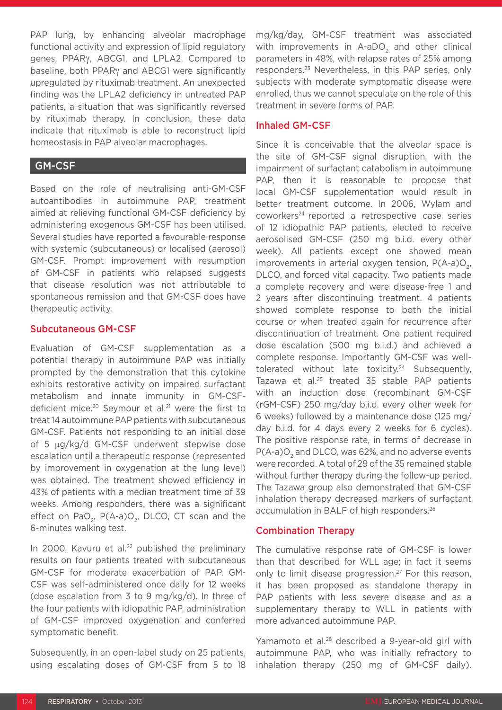PAP lung, by enhancing alveolar macrophage functional activity and expression of lipid regulatory genes, PPARγ, ABCG1, and LPLA2. Compared to baseline, both PPARγ and ABCG1 were significantly upregulated by rituximab treatment. An unexpected finding was the LPLA2 deficiency in untreated PAP patients, a situation that was significantly reversed by rituximab therapy. In conclusion, these data indicate that rituximab is able to reconstruct lipid homeostasis in PAP alveolar macrophages.

#### GM-CSF

Based on the role of neutralising anti-GM-CSF autoantibodies in autoimmune PAP, treatment aimed at relieving functional GM-CSF deficiency by administering exogenous GM-CSF has been utilised. Several studies have reported a favourable response with systemic (subcutaneous) or localised (aerosol) GM-CSF. Prompt improvement with resumption of GM-CSF in patients who relapsed suggests that disease resolution was not attributable to spontaneous remission and that GM-CSF does have therapeutic activity.

#### Subcutaneous GM-CSF

Evaluation of GM-CSF supplementation as a potential therapy in autoimmune PAP was initially prompted by the demonstration that this cytokine exhibits restorative activity on impaired surfactant metabolism and innate immunity in GM-CSFdeficient mice.20 Seymour et al.21 were the first to treat 14 autoimmune PAP patients with subcutaneous GM-CSF. Patients not responding to an initial dose of 5 μg/kg/d GM-CSF underwent stepwise dose escalation until a therapeutic response (represented by improvement in oxygenation at the lung level) was obtained. The treatment showed efficiency in 43% of patients with a median treatment time of 39 weeks. Among responders, there was a significant effect on PaO<sub>2</sub>, P(A-a)O<sub>2</sub>, DLCO, CT scan and the 6-minutes walking test.

In 2000, Kavuru et al.<sup>22</sup> published the preliminary results on four patients treated with subcutaneous GM-CSF for moderate exacerbation of PAP. GM-CSF was self-administered once daily for 12 weeks (dose escalation from 3 to 9 mg/kg/d). In three of the four patients with idiopathic PAP, administration of GM-CSF improved oxygenation and conferred symptomatic benefit.

Subsequently, in an open-label study on 25 patients, using escalating doses of GM-CSF from 5 to 18 mg/kg/day, GM-CSF treatment was associated with improvements in A-aDO<sub>2</sub> and other clinical parameters in 48%, with relapse rates of 25% among responders.23 Nevertheless, in this PAP series, only subjects with moderate symptomatic disease were enrolled, thus we cannot speculate on the role of this treatment in severe forms of PAP.

#### Inhaled GM-CSF

Since it is conceivable that the alveolar space is the site of GM-CSF signal disruption, with the impairment of surfactant catabolism in autoimmune PAP, then it is reasonable to propose that local GM-CSF supplementation would result in better treatment outcome. In 2006, Wylam and coworkers<sup>24</sup> reported a retrospective case series of 12 idiopathic PAP patients, elected to receive aerosolised GM-CSF (250 mg b.i.d. every other week). All patients except one showed mean improvements in arterial oxygen tension,  $P(A-a)O_{2}$ , DLCO, and forced vital capacity. Two patients made a complete recovery and were disease-free 1 and 2 years after discontinuing treatment. 4 patients showed complete response to both the initial course or when treated again for recurrence after discontinuation of treatment. One patient required dose escalation (500 mg b.i.d.) and achieved a complete response. Importantly GM-CSF was welltolerated without late toxicity.<sup>24</sup> Subsequently, Tazawa et al.25 treated 35 stable PAP patients with an induction dose (recombinant GM-CSF (rGM-CSF) 250 mg/day b.i.d. every other week for 6 weeks) followed by a maintenance dose (125 mg/ day b.i.d. for 4 days every 2 weeks for 6 cycles). The positive response rate, in terms of decrease in  $P(A-a)O<sub>2</sub>$  and DLCO, was 62%, and no adverse events were recorded. A total of 29 of the 35 remained stable without further therapy during the follow-up period. The Tazawa group also demonstrated that GM-CSF inhalation therapy decreased markers of surfactant accumulation in BALF of high responders.26

#### Combination Therapy

The cumulative response rate of GM-CSF is lower than that described for WLL age; in fact it seems only to limit disease progression.<sup>27</sup> For this reason, it has been proposed as standalone therapy in PAP patients with less severe disease and as a supplementary therapy to WLL in patients with more advanced autoimmune PAP.

Yamamoto et al.<sup>28</sup> described a 9-year-old girl with autoimmune PAP, who was initially refractory to inhalation therapy (250 mg of GM-CSF daily).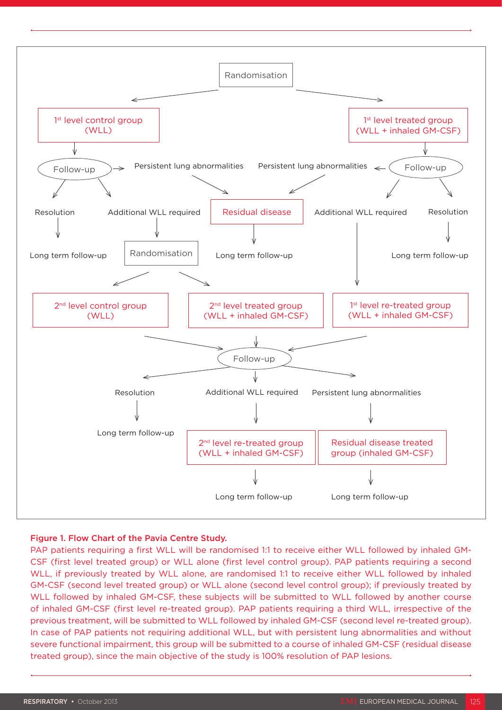

#### Figure 1. Flow Chart of the Pavia Centre Study.

PAP patients requiring a first WLL will be randomised 1:1 to receive either WLL followed by inhaled GM-CSF (first level treated group) or WLL alone (first level control group). PAP patients requiring a second WLL, if previously treated by WLL alone, are randomised 1:1 to receive either WLL followed by inhaled GM-CSF (second level treated group) or WLL alone (second level control group); if previously treated by WLL followed by inhaled GM-CSF, these subjects will be submitted to WLL followed by another course of inhaled GM-CSF (first level re-treated group). PAP patients requiring a third WLL, irrespective of the previous treatment, will be submitted to WLL followed by inhaled GM-CSF (second level re-treated group). In case of PAP patients not requiring additional WLL, but with persistent lung abnormalities and without severe functional impairment, this group will be submitted to a course of inhaled GM-CSF (residual disease treated group), since the main objective of the study is 100% resolution of PAP lesions.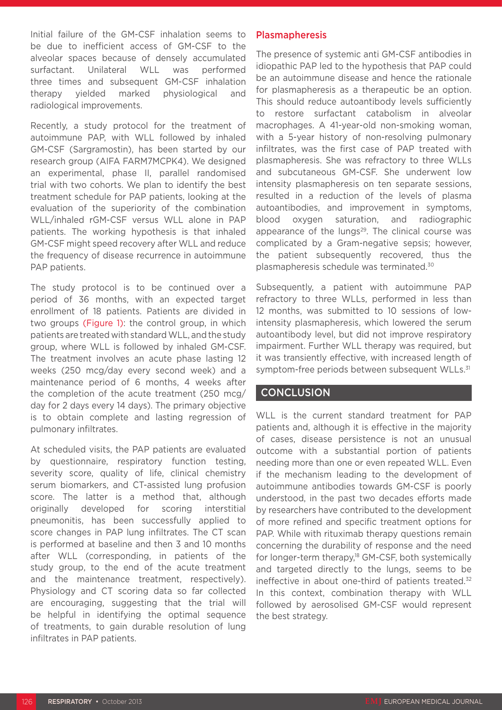Initial failure of the GM-CSF inhalation seems to be due to inefficient access of GM-CSF to the alveolar spaces because of densely accumulated surfactant. Unilateral WLL was performed three times and subsequent GM-CSF inhalation therapy yielded marked physiological and radiological improvements.

Recently, a study protocol for the treatment of autoimmune PAP, with WLL followed by inhaled GM-CSF (Sargramostin), has been started by our research group (AIFA FARM7MCPK4). We designed an experimental, phase II, parallel randomised trial with two cohorts. We plan to identify the best treatment schedule for PAP patients, looking at the evaluation of the superiority of the combination WLL/inhaled rGM-CSF versus WLL alone in PAP patients. The working hypothesis is that inhaled GM-CSF might speed recovery after WLL and reduce the frequency of disease recurrence in autoimmune PAP patients.

The study protocol is to be continued over a period of 36 months, with an expected target enrollment of 18 patients. Patients are divided in two groups (Figure 1): the control group, in which patients are treated with standard WLL, and the study group, where WLL is followed by inhaled GM-CSF. The treatment involves an acute phase lasting 12 weeks (250 mcg/day every second week) and a maintenance period of 6 months, 4 weeks after the completion of the acute treatment (250 mcg/ day for 2 days every 14 days). The primary objective is to obtain complete and lasting regression of pulmonary infiltrates.

At scheduled visits, the PAP patients are evaluated by questionnaire, respiratory function testing, severity score, quality of life, clinical chemistry serum biomarkers, and CT-assisted lung profusion score. The latter is a method that, although originally developed for scoring interstitial pneumonitis, has been successfully applied to score changes in PAP lung infiltrates. The CT scan is performed at baseline and then 3 and 10 months after WLL (corresponding, in patients of the study group, to the end of the acute treatment and the maintenance treatment, respectively). Physiology and CT scoring data so far collected are encouraging, suggesting that the trial will be helpful in identifying the optimal sequence of treatments, to gain durable resolution of lung infiltrates in PAP patients.

#### Plasmapheresis

The presence of systemic anti GM-CSF antibodies in idiopathic PAP led to the hypothesis that PAP could be an autoimmune disease and hence the rationale for plasmapheresis as a therapeutic be an option. This should reduce autoantibody levels sufficiently to restore surfactant catabolism in alveolar macrophages. A 41-year-old non-smoking woman, with a 5-year history of non-resolving pulmonary infiltrates, was the first case of PAP treated with plasmapheresis. She was refractory to three WLLs and subcutaneous GM-CSF. She underwent low intensity plasmapheresis on ten separate sessions, resulted in a reduction of the levels of plasma autoantibodies, and improvement in symptoms, blood oxygen saturation, and radiographic appearance of the lungs<sup>29</sup>. The clinical course was complicated by a Gram-negative sepsis; however, the patient subsequently recovered, thus the plasmapheresis schedule was terminated.30

Subsequently, a patient with autoimmune PAP refractory to three WLLs, performed in less than 12 months, was submitted to 10 sessions of lowintensity plasmapheresis, which lowered the serum autoantibody level, but did not improve respiratory impairment. Further WLL therapy was required, but it was transiently effective, with increased length of symptom-free periods between subsequent WLLs.<sup>31</sup>

#### **CONCLUSION**

WLL is the current standard treatment for PAP patients and, although it is effective in the majority of cases, disease persistence is not an unusual outcome with a substantial portion of patients needing more than one or even repeated WLL. Even if the mechanism leading to the development of autoimmune antibodies towards GM-CSF is poorly understood, in the past two decades efforts made by researchers have contributed to the development of more refined and specific treatment options for PAP. While with rituximab therapy questions remain concerning the durability of response and the need for longer-term therapy,<sup>18</sup> GM-CSF, both systemically and targeted directly to the lungs, seems to be ineffective in about one-third of patients treated.<sup>32</sup> In this context, combination therapy with WLL followed by aerosolised GM-CSF would represent the best strategy.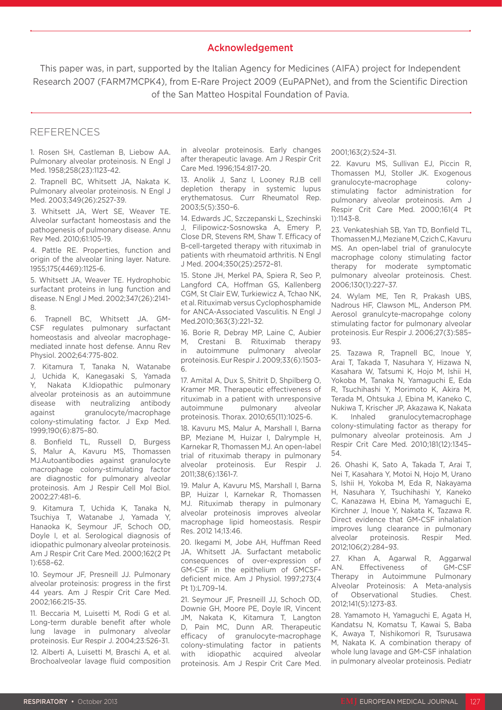#### Acknowledgement

This paper was, in part, supported by the Italian Agency for Medicines (AIFA) project for Independent Research 2007 (FARM7MCPK4), from E-Rare Project 2009 (EuPAPNet), and from the Scientific Direction of the San Matteo Hospital Foundation of Pavia.

#### REFERENCES

1. Rosen SH, Castleman B, Liebow AA. Pulmonary alveolar proteinosis. N Engl J Med. 1958;258(23):1123-42.

2. Trapnell BC, Whitsett JA, Nakata K. Pulmonary alveolar proteinosis. N Engl J Med. 2003;349(26):2527-39.

3. Whitsett JA, Wert SE, Weaver TE. Alveolar surfactant homeostasis and the pathogenesis of pulmonary disease. Annu Rev Med. 2010;61:105-19.

4. Pattle RE. Properties, function and origin of the alveolar lining layer. Nature. 1955;175(4469):1125-6.

5. Whitsett JA, Weaver TE. Hydrophobic surfactant proteins in lung function and disease. N Engl J Med. 2002;347(26):2141- 8.

6. Trapnell BC, Whitsett JA. GM-CSF regulates pulmonary surfactant homeostasis and alveolar macrophagemediated innate host defense. Annu Rev Physiol. 2002;64:775-802.

7. Kitamura T, Tanaka N, Watanabe J, Uchida K, Kanegasaki S, Yamada Y, Nakata K.Idiopathic pulmonary alveolar proteinosis as an autoimmune disease with neutralizing antibody against granulocyte/macrophage colony-stimulating factor. J Exp Med. 1999;190(6):875–80.

8. Bonfield TL, Russell D, Burgess S, Malur A, Kavuru MS, Thomassen MJ.Autoantibodies against granulocyte macrophage colony-stimulating factor are diagnostic for pulmonary alveolar proteinosis. Am J Respir Cell Mol Biol. 2002;27:481–6.

9. Kitamura T, Uchida K, Tanaka N, Tsuchiya T, Watanabe J, Yamada Y, Hanaoka K, Seymour JF, Schoch OD, Doyle I, et al. Serological diagnosis of idiopathic pulmonary alveolar proteinosis. Am J Respir Crit Care Med. 2000;162(2 Pt 1):658–62.

10. Seymour JF, Presneill JJ. Pulmonary alveolar proteinosis: progress in the first 44 years. Am J Respir Crit Care Med. 2002;166:215-35.

11. Beccaria M, Luisetti M, Rodi G et al. Long-term durable benefit after whole lung lavage in pulmonary alveolar proteinosis. Eur Respir J. 2004;23:526-31.

12. Alberti A, Luisetti M, Braschi A, et al. Brochoalveolar lavage fluid composition in alveolar proteinosis. Early changes after therapeutic lavage. Am J Respir Crit Care Med. 1996;154:817-20.

13. Anolik J, Sanz I, Looney RJ.B cell depletion therapy in systemic lupus erythematosus. Curr Rheumatol Rep. 2003;5(5):350–6.

14. Edwards JC, Szczepanski L, Szechinski J, Filipowicz-Sosnowska A, Emery P, Close DR, Stevens RM, Shaw T. Efficacy of B-cell-targeted therapy with rituximab in patients with rheumatoid arthritis. N Engl J Med. 2004;350(25):2572–81.

15. Stone JH, Merkel PA, Spiera R, Seo P, Langford CA, Hoffman GS, Kallenberg CGM, St Clair EW, Turkiewicz A, Tchao NK, et al. Rituximab versus Cyclophosphamide for ANCA-Associated Vasculitis. N Engl J Med.2010;363(3):221–32.

16. Borie R, Debray MP, Laine C, Aubier M, Crestani B. Rituximab therapy in autoimmune pulmonary alveolar proteinosis. Eur Respir J. 2009;33(6):1503- 6.

17. Amital A, Dux S, Shitrit D, Shpilberg O, Kramer MR. Therapeutic effectiveness of rituximab in a patient with unresponsive autoimmune pulmonary alveolar proteinosis. Thorax. 2010;65(11):1025-6.

18. Kavuru MS, Malur A, Marshall I, Barna BP, Meziane M, Huizar I, Dalrymple H, Karnekar R, Thomassen MJ. An open-label trial of rituximab therapy in pulmonary alveolar proteinosis. Eur Respir J. 2011;38(6):1361-7.

19. Malur A, Kavuru MS, Marshall I, Barna BP, Huizar I, Karnekar R, Thomassen MJ. Rituximab therapy in pulmonary alveolar proteinosis improves alveolar macrophage lipid homeostasis. Respir Res. 2012 14;13:46.

20. Ikegami M, Jobe AH, Huffman Reed JA, Whitsett JA. Surfactant metabolic consequences of over-expression of GM-CSF in the epithelium of GMCSFdeficient mice. Am J Physiol. 1997;273(4 Pt 1):L709-14.

21. Seymour JF, Presneill JJ, Schoch OD, Downie GH, Moore PE, Doyle IR, Vincent JM, Nakata K, Kitamura T, Langton D, Pain MC, Dunn AR. Therapeutic efficacy of granulocyte-macrophage colony-stimulating factor in patients with idiopathic acquired alveolar proteinosis. Am J Respir Crit Care Med.

2001;163(2):524–31.

22. Kavuru MS, Sullivan EJ, Piccin R, Thomassen MJ, Stoller JK. Exogenous granulocyte-macrophage colonystimulating factor administration for pulmonary alveolar proteinosis. Am J Respir Crit Care Med. 2000;161(4 Pt 1):1143-8.

23. Venkateshiah SB, Yan TD, Bonfield TL, Thomassen MJ, Meziane M, Czich C, Kavuru MS. An open-label trial of granulocyte macrophage colony stimulating factor therapy for moderate symptomatic pulmonary alveolar proteinosis. Chest. 2006;130(1):227–37.

24. Wylam ME, Ten R, Prakash UBS, Nadrous HF, Clawson ML, Anderson PM. Aerosol granulcyte-macropahge colony stimulating factor for pulmonary alveolar proteinosis. Eur Respir J. 2006;27(3):585– 93.

25. Tazawa R, Trapnell BC, Inoue Y, Arai T, Takada T, Nasuhara Y, Hizawa N, Kasahara W, Tatsumi K, Hojo M, Ishii H, Yokoba M, Tanaka N, Yamaguchi E, Eda R, Tsuchihashi Y, Morimoto K, Akira M, Terada M, Ohtsuka J, Ebina M, Kaneko C, Nukiwa T, Krischer JP, Akazawa K, Nakata K. Inhaled granulocytemacrophage colony-stimulating factor as therapy for pulmonary alveolar proteinosis. Am J Respir Crit Care Med. 2010;181(12):1345– 54.

26. Ohashi K, Sato A, Takada T, Arai T, Nei T, Kasahara Y, Motoi N, Hojo M, Urano S, Ishii H, Yokoba M, Eda R, Nakayama H, Nasuhara Y, Tsuchihashi Y, Kaneko C, Kanazawa H, Ebina M, Yamaguchi E, Kirchner J, Inoue Y, Nakata K, Tazawa R. Direct evidence that GM-CSF inhalation improves lung clearance in pulmonary alveolar proteinosis. Respir Med. 2012;106(2):284–93.

27. Khan A, Agarwal R, Aggarwal AN. Effectiveness of GM-CSF Therapy in Autoimmune Pulmonary Alveolar Proteinosis: A Meta-analysis of Observational Studies. Chest. 2012;141(5):1273-83.

28. Yamamoto H, Yamaguchi E, Agata H, Kandatsu N, Komatsu T, Kawai S, Baba K, Awaya T, Nishikomori R, Tsurusawa M, Nakata K. A combination therapy of whole lung lavage and GM-CSF inhalation in pulmonary alveolar proteinosis. Pediatr